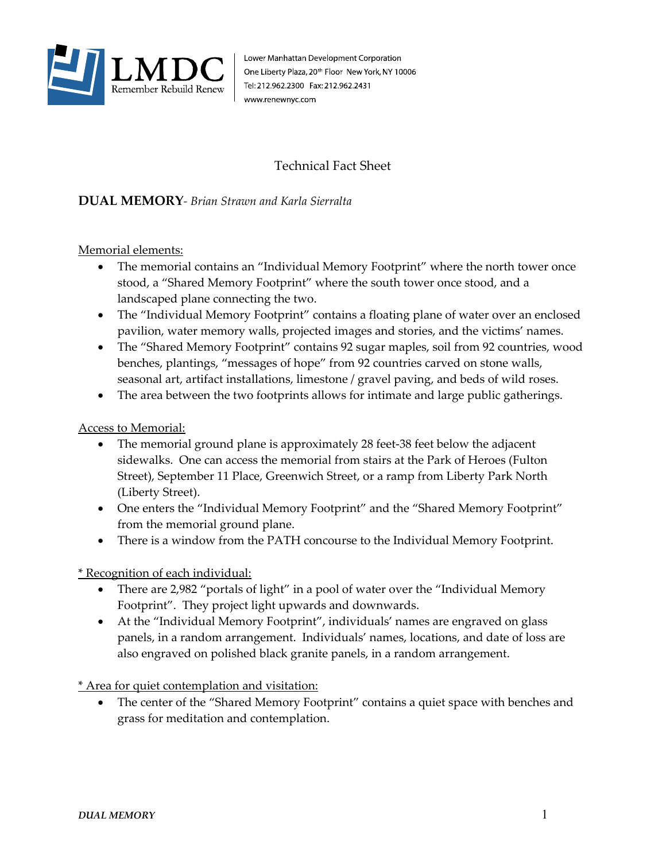

Lower Manhattan Development Corporation One Liberty Plaza, 20<sup>th</sup> Floor New York, NY 10006 Tel: 212.962.2300 Fax: 212.962.2431 www.renewnyc.com

## Technical Fact Sheet

## **DUAL MEMORY***- Brian Strawn and Karla Sierralta*

Memorial elements:

- The memorial contains an "Individual Memory Footprint" where the north tower once stood, a "Shared Memory Footprint" where the south tower once stood, and a landscaped plane connecting the two.
- The "Individual Memory Footprint" contains a floating plane of water over an enclosed pavilion, water memory walls, projected images and stories, and the victims' names.
- The "Shared Memory Footprint" contains 92 sugar maples, soil from 92 countries, wood benches, plantings, "messages of hope" from 92 countries carved on stone walls, seasonal art, artifact installations, limestone / gravel paving, and beds of wild roses.
- The area between the two footprints allows for intimate and large public gatherings.

Access to Memorial:

- The memorial ground plane is approximately 28 feet-38 feet below the adjacent sidewalks. One can access the memorial from stairs at the Park of Heroes (Fulton Street), September 11 Place, Greenwich Street, or a ramp from Liberty Park North (Liberty Street).
- One enters the "Individual Memory Footprint" and the "Shared Memory Footprint" from the memorial ground plane.
- There is a window from the PATH concourse to the Individual Memory Footprint.

\* Recognition of each individual:

- There are 2,982 "portals of light" in a pool of water over the "Individual Memory Footprint". They project light upwards and downwards.
- At the "Individual Memory Footprint", individuals' names are engraved on glass panels, in a random arrangement. Individuals' names, locations, and date of loss are also engraved on polished black granite panels, in a random arrangement.

\* Area for quiet contemplation and visitation:

The center of the "Shared Memory Footprint" contains a quiet space with benches and grass for meditation and contemplation.